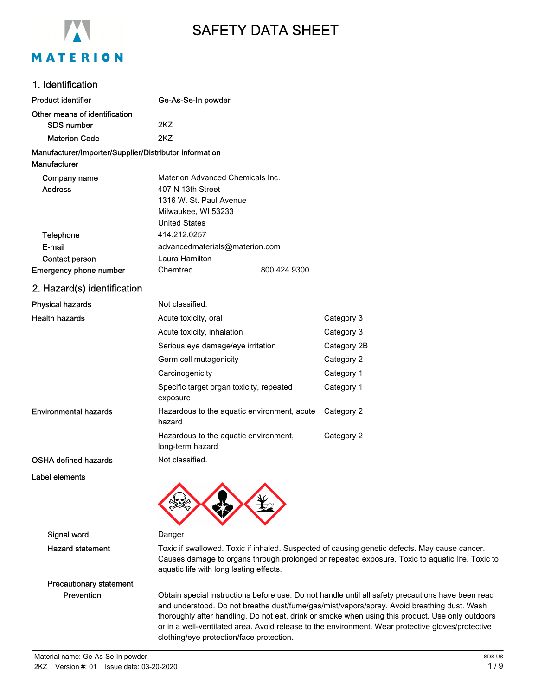

# SAFETY DATA SHEET

# 1. Identification

| <b>Product identifier</b>                              | Ge-As-Se-In powder                                                                                                                                                                                                                          |              |                                                                                                                                                                                                                                                                                                     |  |
|--------------------------------------------------------|---------------------------------------------------------------------------------------------------------------------------------------------------------------------------------------------------------------------------------------------|--------------|-----------------------------------------------------------------------------------------------------------------------------------------------------------------------------------------------------------------------------------------------------------------------------------------------------|--|
| Other means of identification                          |                                                                                                                                                                                                                                             |              |                                                                                                                                                                                                                                                                                                     |  |
| <b>SDS number</b>                                      | 2KZ                                                                                                                                                                                                                                         |              |                                                                                                                                                                                                                                                                                                     |  |
| <b>Materion Code</b>                                   | 2KZ                                                                                                                                                                                                                                         |              |                                                                                                                                                                                                                                                                                                     |  |
| Manufacturer/Importer/Supplier/Distributor information |                                                                                                                                                                                                                                             |              |                                                                                                                                                                                                                                                                                                     |  |
| Manufacturer                                           |                                                                                                                                                                                                                                             |              |                                                                                                                                                                                                                                                                                                     |  |
| Company name                                           | Materion Advanced Chemicals Inc.                                                                                                                                                                                                            |              |                                                                                                                                                                                                                                                                                                     |  |
| <b>Address</b>                                         | 407 N 13th Street                                                                                                                                                                                                                           |              |                                                                                                                                                                                                                                                                                                     |  |
|                                                        | 1316 W. St. Paul Avenue                                                                                                                                                                                                                     |              |                                                                                                                                                                                                                                                                                                     |  |
|                                                        | Milwaukee, WI 53233<br><b>United States</b>                                                                                                                                                                                                 |              |                                                                                                                                                                                                                                                                                                     |  |
| Telephone                                              | 414.212.0257                                                                                                                                                                                                                                |              |                                                                                                                                                                                                                                                                                                     |  |
| E-mail                                                 | advancedmaterials@materion.com                                                                                                                                                                                                              |              |                                                                                                                                                                                                                                                                                                     |  |
| Contact person                                         | Laura Hamilton                                                                                                                                                                                                                              |              |                                                                                                                                                                                                                                                                                                     |  |
| <b>Emergency phone number</b>                          | Chemtrec                                                                                                                                                                                                                                    | 800.424.9300 |                                                                                                                                                                                                                                                                                                     |  |
| 2. Hazard(s) identification                            |                                                                                                                                                                                                                                             |              |                                                                                                                                                                                                                                                                                                     |  |
| <b>Physical hazards</b>                                | Not classified.                                                                                                                                                                                                                             |              |                                                                                                                                                                                                                                                                                                     |  |
| <b>Health hazards</b>                                  | Acute toxicity, oral                                                                                                                                                                                                                        |              | Category 3                                                                                                                                                                                                                                                                                          |  |
|                                                        | Acute toxicity, inhalation                                                                                                                                                                                                                  |              | Category 3                                                                                                                                                                                                                                                                                          |  |
|                                                        | Serious eye damage/eye irritation                                                                                                                                                                                                           |              | Category 2B                                                                                                                                                                                                                                                                                         |  |
|                                                        | Germ cell mutagenicity                                                                                                                                                                                                                      |              | Category 2                                                                                                                                                                                                                                                                                          |  |
|                                                        | Carcinogenicity                                                                                                                                                                                                                             |              | Category 1                                                                                                                                                                                                                                                                                          |  |
|                                                        | Specific target organ toxicity, repeated<br>exposure                                                                                                                                                                                        |              | Category 1                                                                                                                                                                                                                                                                                          |  |
| <b>Environmental hazards</b>                           | Hazardous to the aquatic environment, acute<br>hazard                                                                                                                                                                                       |              | Category 2                                                                                                                                                                                                                                                                                          |  |
|                                                        | Hazardous to the aquatic environment,<br>long-term hazard                                                                                                                                                                                   |              | Category 2                                                                                                                                                                                                                                                                                          |  |
| <b>OSHA defined hazards</b>                            | Not classified.                                                                                                                                                                                                                             |              |                                                                                                                                                                                                                                                                                                     |  |
| Label elements                                         |                                                                                                                                                                                                                                             |              |                                                                                                                                                                                                                                                                                                     |  |
|                                                        |                                                                                                                                                                                                                                             |              |                                                                                                                                                                                                                                                                                                     |  |
| Signal word                                            | Danger                                                                                                                                                                                                                                      |              |                                                                                                                                                                                                                                                                                                     |  |
| <b>Hazard statement</b>                                | Toxic if swallowed. Toxic if inhaled. Suspected of causing genetic defects. May cause cancer.<br>Causes damage to organs through prolonged or repeated exposure. Toxic to aquatic life. Toxic to<br>aquatic life with long lasting effects. |              |                                                                                                                                                                                                                                                                                                     |  |
| <b>Precautionary statement</b>                         |                                                                                                                                                                                                                                             |              |                                                                                                                                                                                                                                                                                                     |  |
| Prevention                                             |                                                                                                                                                                                                                                             |              | Obtain special instructions before use. Do not handle until all safety precautions have been read<br>and understood. Do not breathe dust/fume/gas/mist/vapors/spray. Avoid breathing dust. Wash<br>thoroughly after handling. Do not eat, drink or smoke when using this product. Use only outdoors |  |

clothing/eye protection/face protection.

or in a well-ventilated area. Avoid release to the environment. Wear protective gloves/protective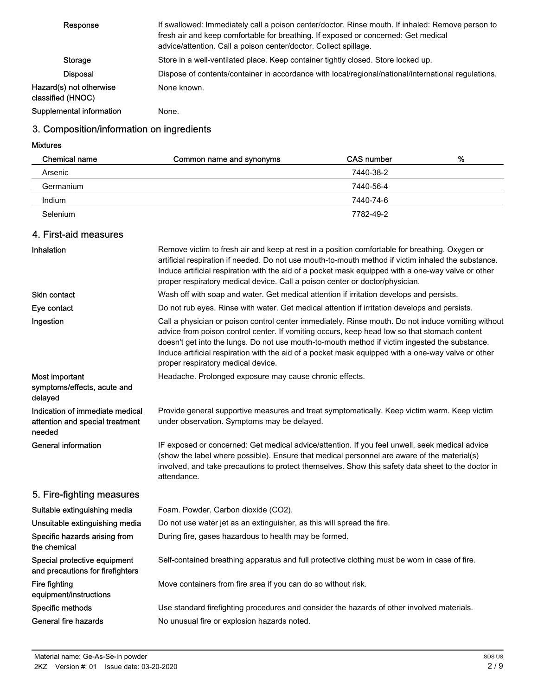| Response                                     | If swallowed: Immediately call a poison center/doctor. Rinse mouth. If inhaled: Remove person to<br>fresh air and keep comfortable for breathing. If exposed or concerned: Get medical<br>advice/attention. Call a poison center/doctor. Collect spillage. |
|----------------------------------------------|------------------------------------------------------------------------------------------------------------------------------------------------------------------------------------------------------------------------------------------------------------|
| Storage                                      | Store in a well-ventilated place. Keep container tightly closed. Store locked up.                                                                                                                                                                          |
| <b>Disposal</b>                              | Dispose of contents/container in accordance with local/regional/national/international regulations.                                                                                                                                                        |
| Hazard(s) not otherwise<br>classified (HNOC) | None known.                                                                                                                                                                                                                                                |
| Supplemental information                     | None.                                                                                                                                                                                                                                                      |

# 3. Composition/information on ingredients

Mixtures

| Chemical name | Common name and synonyms | CAS number | % |
|---------------|--------------------------|------------|---|
| Arsenic       |                          | 7440-38-2  |   |
| Germanium     |                          | 7440-56-4  |   |
| Indium        |                          | 7440-74-6  |   |
| Selenium      |                          | 7782-49-2  |   |

# 4. First-aid measures

| Inhalation                                                                   | Remove victim to fresh air and keep at rest in a position comfortable for breathing. Oxygen or<br>artificial respiration if needed. Do not use mouth-to-mouth method if victim inhaled the substance.<br>Induce artificial respiration with the aid of a pocket mask equipped with a one-way valve or other<br>proper respiratory medical device. Call a poison center or doctor/physician.                                                      |
|------------------------------------------------------------------------------|--------------------------------------------------------------------------------------------------------------------------------------------------------------------------------------------------------------------------------------------------------------------------------------------------------------------------------------------------------------------------------------------------------------------------------------------------|
| Skin contact                                                                 | Wash off with soap and water. Get medical attention if irritation develops and persists.                                                                                                                                                                                                                                                                                                                                                         |
| Eye contact                                                                  | Do not rub eyes. Rinse with water. Get medical attention if irritation develops and persists.                                                                                                                                                                                                                                                                                                                                                    |
| Ingestion                                                                    | Call a physician or poison control center immediately. Rinse mouth. Do not induce vomiting without<br>advice from poison control center. If vomiting occurs, keep head low so that stomach content<br>doesn't get into the lungs. Do not use mouth-to-mouth method if victim ingested the substance.<br>Induce artificial respiration with the aid of a pocket mask equipped with a one-way valve or other<br>proper respiratory medical device. |
| Most important<br>symptoms/effects, acute and<br>delayed                     | Headache. Prolonged exposure may cause chronic effects.                                                                                                                                                                                                                                                                                                                                                                                          |
| Indication of immediate medical<br>attention and special treatment<br>needed | Provide general supportive measures and treat symptomatically. Keep victim warm. Keep victim<br>under observation. Symptoms may be delayed.                                                                                                                                                                                                                                                                                                      |
| <b>General information</b>                                                   | IF exposed or concerned: Get medical advice/attention. If you feel unwell, seek medical advice<br>(show the label where possible). Ensure that medical personnel are aware of the material(s)<br>involved, and take precautions to protect themselves. Show this safety data sheet to the doctor in<br>attendance.                                                                                                                               |
| 5. Fire-fighting measures                                                    |                                                                                                                                                                                                                                                                                                                                                                                                                                                  |
| Suitable extinguishing media                                                 | Foam. Powder. Carbon dioxide (CO2).                                                                                                                                                                                                                                                                                                                                                                                                              |
| Unsuitable extinguishing media                                               | Do not use water jet as an extinguisher, as this will spread the fire.                                                                                                                                                                                                                                                                                                                                                                           |
| Specific hazards arising from<br>the chemical                                | During fire, gases hazardous to health may be formed.                                                                                                                                                                                                                                                                                                                                                                                            |
| Special protective equipment<br>and precautions for firefighters             | Self-contained breathing apparatus and full protective clothing must be worn in case of fire.                                                                                                                                                                                                                                                                                                                                                    |
| Fire fighting<br>equipment/instructions                                      | Move containers from fire area if you can do so without risk.                                                                                                                                                                                                                                                                                                                                                                                    |
| Specific methods                                                             | Use standard firefighting procedures and consider the hazards of other involved materials.                                                                                                                                                                                                                                                                                                                                                       |
| <b>General fire hazards</b>                                                  | No unusual fire or explosion hazards noted.                                                                                                                                                                                                                                                                                                                                                                                                      |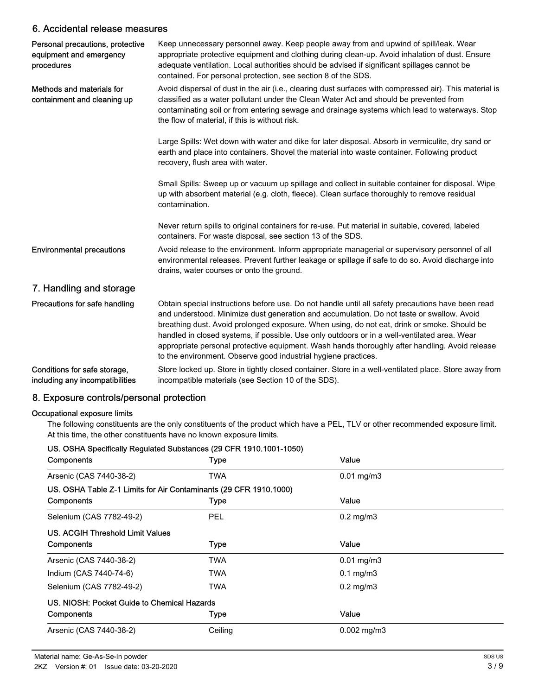## 6. Accidental release measures

| Personal precautions, protective<br>equipment and emergency<br>procedures | Keep unnecessary personnel away. Keep people away from and upwind of spill/leak. Wear<br>appropriate protective equipment and clothing during clean-up. Avoid inhalation of dust. Ensure<br>adequate ventilation. Local authorities should be advised if significant spillages cannot be<br>contained. For personal protection, see section 8 of the SDS.                                                                                                                                                                                                         |
|---------------------------------------------------------------------------|-------------------------------------------------------------------------------------------------------------------------------------------------------------------------------------------------------------------------------------------------------------------------------------------------------------------------------------------------------------------------------------------------------------------------------------------------------------------------------------------------------------------------------------------------------------------|
| Methods and materials for<br>containment and cleaning up                  | Avoid dispersal of dust in the air (i.e., clearing dust surfaces with compressed air). This material is<br>classified as a water pollutant under the Clean Water Act and should be prevented from<br>contaminating soil or from entering sewage and drainage systems which lead to waterways. Stop<br>the flow of material, if this is without risk.                                                                                                                                                                                                              |
|                                                                           | Large Spills: Wet down with water and dike for later disposal. Absorb in vermiculite, dry sand or<br>earth and place into containers. Shovel the material into waste container. Following product<br>recovery, flush area with water.                                                                                                                                                                                                                                                                                                                             |
|                                                                           | Small Spills: Sweep up or vacuum up spillage and collect in suitable container for disposal. Wipe<br>up with absorbent material (e.g. cloth, fleece). Clean surface thoroughly to remove residual<br>contamination.                                                                                                                                                                                                                                                                                                                                               |
|                                                                           | Never return spills to original containers for re-use. Put material in suitable, covered, labeled<br>containers. For waste disposal, see section 13 of the SDS.                                                                                                                                                                                                                                                                                                                                                                                                   |
| <b>Environmental precautions</b>                                          | Avoid release to the environment. Inform appropriate managerial or supervisory personnel of all<br>environmental releases. Prevent further leakage or spillage if safe to do so. Avoid discharge into<br>drains, water courses or onto the ground.                                                                                                                                                                                                                                                                                                                |
| 7. Handling and storage                                                   |                                                                                                                                                                                                                                                                                                                                                                                                                                                                                                                                                                   |
| Precautions for safe handling                                             | Obtain special instructions before use. Do not handle until all safety precautions have been read<br>and understood. Minimize dust generation and accumulation. Do not taste or swallow. Avoid<br>breathing dust. Avoid prolonged exposure. When using, do not eat, drink or smoke. Should be<br>handled in closed systems, if possible. Use only outdoors or in a well-ventilated area. Wear<br>appropriate personal protective equipment. Wash hands thoroughly after handling. Avoid release<br>to the environment. Observe good industrial hygiene practices. |
| Conditions for safe storage,<br>including any incompatibilities           | Store locked up. Store in tightly closed container. Store in a well-ventilated place. Store away from<br>incompatible materials (see Section 10 of the SDS).                                                                                                                                                                                                                                                                                                                                                                                                      |

# 8. Exposure controls/personal protection

#### Occupational exposure limits

The following constituents are the only constituents of the product which have a PEL, TLV or other recommended exposure limit. At this time, the other constituents have no known exposure limits.

#### US. OSHA Specifically Regulated Substances (29 CFR 1910.1001-1050)

| Components                                                        | Type        | Value            |  |
|-------------------------------------------------------------------|-------------|------------------|--|
| Arsenic (CAS 7440-38-2)                                           | TWA         | $0.01$ mg/m $3$  |  |
| US. OSHA Table Z-1 Limits for Air Contaminants (29 CFR 1910.1000) |             |                  |  |
| Components                                                        | <b>Type</b> | Value            |  |
| Selenium (CAS 7782-49-2)                                          | <b>PEL</b>  | $0.2$ mg/m $3$   |  |
| US. ACGIH Threshold Limit Values                                  |             |                  |  |
| Components                                                        | <b>Type</b> | Value            |  |
| Arsenic (CAS 7440-38-2)                                           | TWA         | $0.01$ mg/m $3$  |  |
| Indium (CAS 7440-74-6)                                            | TWA         | $0.1$ mg/m $3$   |  |
| Selenium (CAS 7782-49-2)                                          | TWA         | $0.2$ mg/m $3$   |  |
| US. NIOSH: Pocket Guide to Chemical Hazards                       |             |                  |  |
| Components                                                        | Type        | Value            |  |
| Arsenic (CAS 7440-38-2)                                           | Ceiling     | $0.002$ mg/m $3$ |  |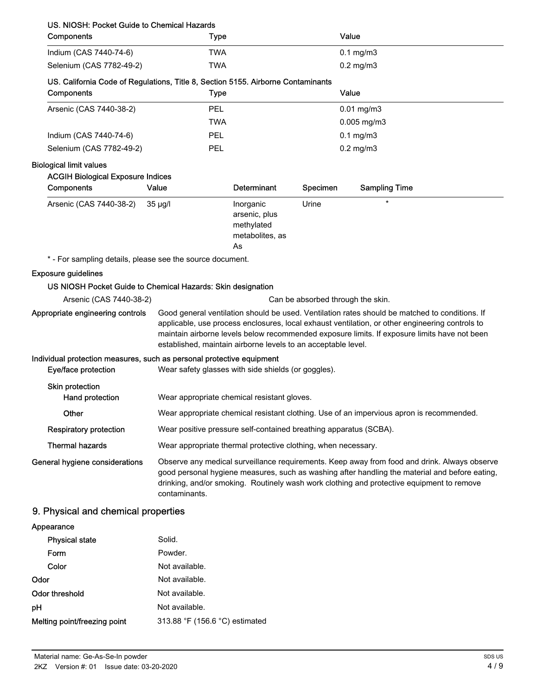| US. NIOSH: Pocket Guide to Chemical Hazards                                                  |                                                                                                                                                                                                                                                                                                                                                                    |                                                                   |          |                                   |
|----------------------------------------------------------------------------------------------|--------------------------------------------------------------------------------------------------------------------------------------------------------------------------------------------------------------------------------------------------------------------------------------------------------------------------------------------------------------------|-------------------------------------------------------------------|----------|-----------------------------------|
| Components                                                                                   | Type                                                                                                                                                                                                                                                                                                                                                               |                                                                   |          | Value                             |
| Indium (CAS 7440-74-6)                                                                       | <b>TWA</b>                                                                                                                                                                                                                                                                                                                                                         |                                                                   |          | $0.1$ mg/m $3$                    |
| Selenium (CAS 7782-49-2)                                                                     | <b>TWA</b>                                                                                                                                                                                                                                                                                                                                                         |                                                                   |          | $0.2$ mg/m $3$                    |
| US. California Code of Regulations, Title 8, Section 5155. Airborne Contaminants             |                                                                                                                                                                                                                                                                                                                                                                    |                                                                   |          |                                   |
| Components                                                                                   | <b>Type</b>                                                                                                                                                                                                                                                                                                                                                        |                                                                   |          | Value                             |
| Arsenic (CAS 7440-38-2)                                                                      | PEL                                                                                                                                                                                                                                                                                                                                                                |                                                                   |          | $0.01$ mg/m $3$                   |
|                                                                                              | <b>TWA</b>                                                                                                                                                                                                                                                                                                                                                         |                                                                   |          | $0.005$ mg/m3                     |
| Indium (CAS 7440-74-6)                                                                       | PEL                                                                                                                                                                                                                                                                                                                                                                |                                                                   |          | $0.1$ mg/m $3$                    |
| Selenium (CAS 7782-49-2)                                                                     | PEL                                                                                                                                                                                                                                                                                                                                                                |                                                                   |          | $0.2$ mg/m $3$                    |
| <b>Biological limit values</b>                                                               |                                                                                                                                                                                                                                                                                                                                                                    |                                                                   |          |                                   |
| <b>ACGIH Biological Exposure Indices</b>                                                     |                                                                                                                                                                                                                                                                                                                                                                    |                                                                   |          |                                   |
| Components                                                                                   | Value                                                                                                                                                                                                                                                                                                                                                              | Determinant                                                       | Specimen | <b>Sampling Time</b>              |
| Arsenic (CAS 7440-38-2)                                                                      | $35 \mu g/l$                                                                                                                                                                                                                                                                                                                                                       | Inorganic<br>arsenic, plus<br>methylated<br>metabolites, as<br>As | Urine    | $\star$                           |
| * - For sampling details, please see the source document.                                    |                                                                                                                                                                                                                                                                                                                                                                    |                                                                   |          |                                   |
| <b>Exposure guidelines</b>                                                                   |                                                                                                                                                                                                                                                                                                                                                                    |                                                                   |          |                                   |
| US NIOSH Pocket Guide to Chemical Hazards: Skin designation                                  |                                                                                                                                                                                                                                                                                                                                                                    |                                                                   |          |                                   |
| Arsenic (CAS 7440-38-2)                                                                      |                                                                                                                                                                                                                                                                                                                                                                    |                                                                   |          | Can be absorbed through the skin. |
| Appropriate engineering controls                                                             | Good general ventilation should be used. Ventilation rates should be matched to conditions. If<br>applicable, use process enclosures, local exhaust ventilation, or other engineering controls to<br>maintain airborne levels below recommended exposure limits. If exposure limits have not been<br>established, maintain airborne levels to an acceptable level. |                                                                   |          |                                   |
| Individual protection measures, such as personal protective equipment<br>Eye/face protection | Wear safety glasses with side shields (or goggles).                                                                                                                                                                                                                                                                                                                |                                                                   |          |                                   |
| Skin protection<br>Hand protection                                                           | Wear appropriate chemical resistant gloves.                                                                                                                                                                                                                                                                                                                        |                                                                   |          |                                   |
| Other                                                                                        | Wear appropriate chemical resistant clothing. Use of an impervious apron is recommended.                                                                                                                                                                                                                                                                           |                                                                   |          |                                   |
| <b>Respiratory protection</b>                                                                | Wear positive pressure self-contained breathing apparatus (SCBA).                                                                                                                                                                                                                                                                                                  |                                                                   |          |                                   |
| <b>Thermal hazards</b>                                                                       | Wear appropriate thermal protective clothing, when necessary.                                                                                                                                                                                                                                                                                                      |                                                                   |          |                                   |
| General hygiene considerations                                                               | Observe any medical surveillance requirements. Keep away from food and drink. Always observe<br>good personal hygiene measures, such as washing after handling the material and before eating,<br>drinking, and/or smoking. Routinely wash work clothing and protective equipment to remove<br>contaminants.                                                       |                                                                   |          |                                   |
| 9. Physical and chemical properties                                                          |                                                                                                                                                                                                                                                                                                                                                                    |                                                                   |          |                                   |
| Appearance                                                                                   |                                                                                                                                                                                                                                                                                                                                                                    |                                                                   |          |                                   |

| <b>Physical state</b>        | Solid.                         |
|------------------------------|--------------------------------|
| Form                         | Powder.                        |
| Color                        | Not available.                 |
| Odor                         | Not available.                 |
| Odor threshold               | Not available.                 |
| рH                           | Not available.                 |
| Melting point/freezing point | 313.88 °F (156.6 °C) estimated |
|                              |                                |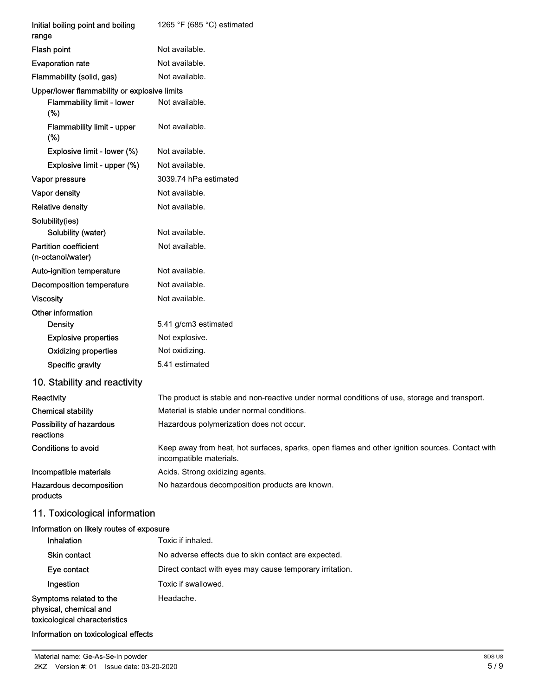| Initial boiling point and boiling<br>range                                        | 1265 °F (685 °C) estimated                                                                                                 |
|-----------------------------------------------------------------------------------|----------------------------------------------------------------------------------------------------------------------------|
| <b>Flash point</b>                                                                | Not available.                                                                                                             |
| <b>Evaporation rate</b>                                                           | Not available.                                                                                                             |
| Flammability (solid, gas)                                                         | Not available.                                                                                                             |
| Upper/lower flammability or explosive limits<br>Flammability limit - lower<br>(%) | Not available.                                                                                                             |
| Flammability limit - upper<br>$(\%)$                                              | Not available.                                                                                                             |
| Explosive limit - lower (%)                                                       | Not available.                                                                                                             |
| Explosive limit - upper (%)                                                       | Not available.                                                                                                             |
| Vapor pressure                                                                    | 3039.74 hPa estimated                                                                                                      |
| Vapor density                                                                     | Not available.                                                                                                             |
| <b>Relative density</b>                                                           | Not available.                                                                                                             |
| Solubility(ies)<br>Solubility (water)                                             | Not available.                                                                                                             |
| <b>Partition coefficient</b><br>(n-octanol/water)                                 | Not available.                                                                                                             |
| Auto-ignition temperature                                                         | Not available.                                                                                                             |
| <b>Decomposition temperature</b>                                                  | Not available.                                                                                                             |
| <b>Viscosity</b>                                                                  | Not available.                                                                                                             |
| Other information                                                                 |                                                                                                                            |
| <b>Density</b>                                                                    | 5.41 g/cm3 estimated                                                                                                       |
| <b>Explosive properties</b>                                                       | Not explosive.                                                                                                             |
| <b>Oxidizing properties</b>                                                       | Not oxidizing.                                                                                                             |
| Specific gravity                                                                  | 5.41 estimated                                                                                                             |
| 10. Stability and reactivity                                                      |                                                                                                                            |
| Reactivity                                                                        | The product is stable and non-reactive under normal conditions of use, storage and transport.                              |
| <b>Chemical stability</b>                                                         | Material is stable under normal conditions.                                                                                |
| Possibility of hazardous<br>reactions                                             | Hazardous polymerization does not occur.                                                                                   |
| Conditions to avoid                                                               | Keep away from heat, hot surfaces, sparks, open flames and other ignition sources. Contact with<br>incompatible materials. |
| Incompatible materials                                                            | Acids. Strong oxidizing agents.                                                                                            |
| Hazardous decomposition<br>products                                               | No hazardous decomposition products are known.                                                                             |
| 11. Toxicological information                                                     |                                                                                                                            |
| Information on likely routes of exposure                                          |                                                                                                                            |
| Inhalation                                                                        | Toxic if inhaled.                                                                                                          |
| Skin contact                                                                      | No adverse effects due to skin contact are expected.                                                                       |

Information on toxicological effects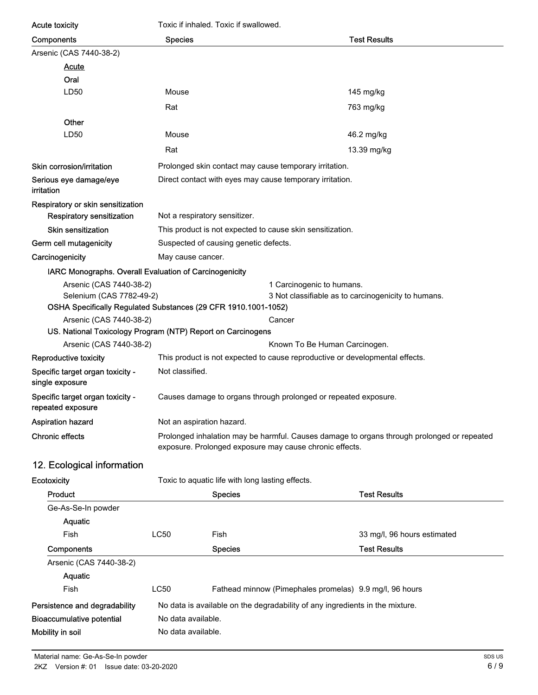| <b>Acute toxicity</b>                                          | Toxic if inhaled. Toxic if swallowed.                                                                                                                 |                                                                              |                                                     |  |
|----------------------------------------------------------------|-------------------------------------------------------------------------------------------------------------------------------------------------------|------------------------------------------------------------------------------|-----------------------------------------------------|--|
| Components                                                     | <b>Species</b>                                                                                                                                        |                                                                              | <b>Test Results</b>                                 |  |
| Arsenic (CAS 7440-38-2)                                        |                                                                                                                                                       |                                                                              |                                                     |  |
| <b>Acute</b>                                                   |                                                                                                                                                       |                                                                              |                                                     |  |
| Oral                                                           |                                                                                                                                                       |                                                                              |                                                     |  |
| LD50                                                           | Mouse                                                                                                                                                 |                                                                              | 145 mg/kg                                           |  |
|                                                                | Rat                                                                                                                                                   |                                                                              | 763 mg/kg                                           |  |
| Other                                                          |                                                                                                                                                       |                                                                              |                                                     |  |
| LD50                                                           | Mouse                                                                                                                                                 |                                                                              | 46.2 mg/kg                                          |  |
|                                                                | Rat                                                                                                                                                   |                                                                              | 13.39 mg/kg                                         |  |
| Skin corrosion/irritation                                      |                                                                                                                                                       | Prolonged skin contact may cause temporary irritation.                       |                                                     |  |
| Serious eye damage/eye<br>irritation                           |                                                                                                                                                       | Direct contact with eyes may cause temporary irritation.                     |                                                     |  |
| Respiratory or skin sensitization                              |                                                                                                                                                       |                                                                              |                                                     |  |
| Respiratory sensitization                                      | Not a respiratory sensitizer.                                                                                                                         |                                                                              |                                                     |  |
| <b>Skin sensitization</b>                                      |                                                                                                                                                       | This product is not expected to cause skin sensitization.                    |                                                     |  |
| Germ cell mutagenicity                                         |                                                                                                                                                       | Suspected of causing genetic defects.                                        |                                                     |  |
| Carcinogenicity                                                | May cause cancer.                                                                                                                                     |                                                                              |                                                     |  |
| IARC Monographs. Overall Evaluation of Carcinogenicity         |                                                                                                                                                       |                                                                              |                                                     |  |
| Arsenic (CAS 7440-38-2)<br>Selenium (CAS 7782-49-2)            |                                                                                                                                                       | 1 Carcinogenic to humans.                                                    | 3 Not classifiable as to carcinogenicity to humans. |  |
| OSHA Specifically Regulated Substances (29 CFR 1910.1001-1052) |                                                                                                                                                       |                                                                              |                                                     |  |
| Arsenic (CAS 7440-38-2)                                        |                                                                                                                                                       | Cancer                                                                       |                                                     |  |
| Arsenic (CAS 7440-38-2)                                        | US. National Toxicology Program (NTP) Report on Carcinogens<br>Known To Be Human Carcinogen.                                                          |                                                                              |                                                     |  |
| Reproductive toxicity                                          |                                                                                                                                                       | This product is not expected to cause reproductive or developmental effects. |                                                     |  |
| Specific target organ toxicity -                               | Not classified.                                                                                                                                       |                                                                              |                                                     |  |
| single exposure                                                |                                                                                                                                                       |                                                                              |                                                     |  |
| Specific target organ toxicity -<br>repeated exposure          | Causes damage to organs through prolonged or repeated exposure.                                                                                       |                                                                              |                                                     |  |
| Aspiration hazard                                              | Not an aspiration hazard.                                                                                                                             |                                                                              |                                                     |  |
| <b>Chronic effects</b>                                         | Prolonged inhalation may be harmful. Causes damage to organs through prolonged or repeated<br>exposure. Prolonged exposure may cause chronic effects. |                                                                              |                                                     |  |
| 12. Ecological information                                     |                                                                                                                                                       |                                                                              |                                                     |  |
| Ecotoxicity                                                    |                                                                                                                                                       | Toxic to aquatic life with long lasting effects.                             |                                                     |  |
| Product                                                        |                                                                                                                                                       | <b>Species</b>                                                               | <b>Test Results</b>                                 |  |
| Ge-As-Se-In powder                                             |                                                                                                                                                       |                                                                              |                                                     |  |
| <b>Aquatic</b>                                                 |                                                                                                                                                       |                                                                              |                                                     |  |
| Fish                                                           | LC50                                                                                                                                                  | Fish                                                                         | 33 mg/l, 96 hours estimated                         |  |
| Components                                                     |                                                                                                                                                       | <b>Species</b>                                                               | <b>Test Results</b>                                 |  |
| Arsenic (CAS 7440-38-2)                                        |                                                                                                                                                       |                                                                              |                                                     |  |
| Aquatic                                                        |                                                                                                                                                       |                                                                              |                                                     |  |
| Fish                                                           | <b>LC50</b>                                                                                                                                           | Fathead minnow (Pimephales promelas) 9.9 mg/l, 96 hours                      |                                                     |  |
| Persistence and degradability                                  |                                                                                                                                                       | No data is available on the degradability of any ingredients in the mixture. |                                                     |  |
| <b>Bioaccumulative potential</b>                               | No data available.                                                                                                                                    |                                                                              |                                                     |  |
| Mobility in soil                                               | No data available.                                                                                                                                    |                                                                              |                                                     |  |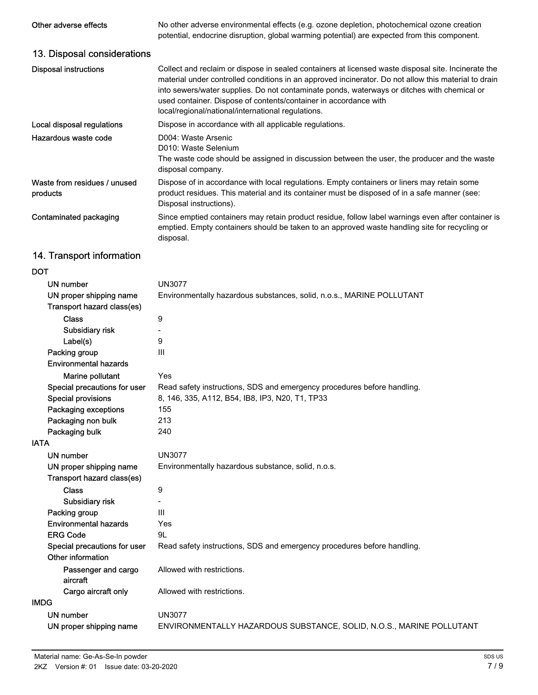| Other adverse effects                                 | No other adverse environmental effects (e.g. ozone depletion, photochemical ozone creation<br>potential, endocrine disruption, global warming potential) are expected from this component.                                                                                                                                                                                                                                           |
|-------------------------------------------------------|--------------------------------------------------------------------------------------------------------------------------------------------------------------------------------------------------------------------------------------------------------------------------------------------------------------------------------------------------------------------------------------------------------------------------------------|
| 13. Disposal considerations                           |                                                                                                                                                                                                                                                                                                                                                                                                                                      |
| <b>Disposal instructions</b>                          | Collect and reclaim or dispose in sealed containers at licensed waste disposal site. Incinerate the<br>material under controlled conditions in an approved incinerator. Do not allow this material to drain<br>into sewers/water supplies. Do not contaminate ponds, waterways or ditches with chemical or<br>used container. Dispose of contents/container in accordance with<br>local/regional/national/international regulations. |
| Local disposal regulations                            | Dispose in accordance with all applicable regulations.                                                                                                                                                                                                                                                                                                                                                                               |
| Hazardous waste code                                  | D004: Waste Arsenic<br>D010: Waste Selenium<br>The waste code should be assigned in discussion between the user, the producer and the waste<br>disposal company.                                                                                                                                                                                                                                                                     |
| Waste from residues / unused<br>products              | Dispose of in accordance with local regulations. Empty containers or liners may retain some<br>product residues. This material and its container must be disposed of in a safe manner (see:<br>Disposal instructions).                                                                                                                                                                                                               |
| Contaminated packaging                                | Since emptied containers may retain product residue, follow label warnings even after container is<br>emptied. Empty containers should be taken to an approved waste handling site for recycling or<br>disposal.                                                                                                                                                                                                                     |
| 14. Transport information                             |                                                                                                                                                                                                                                                                                                                                                                                                                                      |
| <b>DOT</b>                                            |                                                                                                                                                                                                                                                                                                                                                                                                                                      |
| UN number                                             | <b>UN3077</b>                                                                                                                                                                                                                                                                                                                                                                                                                        |
| UN proper shipping name<br>Transport hazard class(es) | Environmentally hazardous substances, solid, n.o.s., MARINE POLLUTANT                                                                                                                                                                                                                                                                                                                                                                |
| <b>Class</b>                                          | 9                                                                                                                                                                                                                                                                                                                                                                                                                                    |
| Subsidiary risk                                       |                                                                                                                                                                                                                                                                                                                                                                                                                                      |
| Label(s)                                              | 9                                                                                                                                                                                                                                                                                                                                                                                                                                    |
| Packing group<br><b>Environmental hazards</b>         | $\mathbf{III}$                                                                                                                                                                                                                                                                                                                                                                                                                       |
| Marine pollutant                                      | Yes                                                                                                                                                                                                                                                                                                                                                                                                                                  |
| Special precautions for user                          | Read safety instructions, SDS and emergency procedures before handling.                                                                                                                                                                                                                                                                                                                                                              |
| Special provisions                                    | 8, 146, 335, A112, B54, IB8, IP3, N20, T1, TP33                                                                                                                                                                                                                                                                                                                                                                                      |
| Packaging exceptions                                  | 155                                                                                                                                                                                                                                                                                                                                                                                                                                  |
| Packaging non bulk                                    | 213                                                                                                                                                                                                                                                                                                                                                                                                                                  |
| Packaging bulk                                        | 240                                                                                                                                                                                                                                                                                                                                                                                                                                  |
| <b>IATA</b>                                           |                                                                                                                                                                                                                                                                                                                                                                                                                                      |
| <b>UN number</b>                                      | <b>UN3077</b>                                                                                                                                                                                                                                                                                                                                                                                                                        |
| UN proper shipping name                               | Environmentally hazardous substance, solid, n.o.s.                                                                                                                                                                                                                                                                                                                                                                                   |
| Transport hazard class(es)                            |                                                                                                                                                                                                                                                                                                                                                                                                                                      |
| <b>Class</b>                                          | 9                                                                                                                                                                                                                                                                                                                                                                                                                                    |
| Subsidiary risk                                       | $\overline{a}$                                                                                                                                                                                                                                                                                                                                                                                                                       |
| Packing group                                         | III                                                                                                                                                                                                                                                                                                                                                                                                                                  |
| <b>Environmental hazards</b>                          | Yes                                                                                                                                                                                                                                                                                                                                                                                                                                  |
| <b>ERG Code</b>                                       | 9L                                                                                                                                                                                                                                                                                                                                                                                                                                   |

| Special precautions for user Read safety instructions, SDS and emergency procedures before handling. |  |  |
|------------------------------------------------------------------------------------------------------|--|--|
|                                                                                                      |  |  |

| Other information |                            |                                                          |  |
|-------------------|----------------------------|----------------------------------------------------------|--|
| aircraft          | Passenger and cargo        | Allowed with restrictions.                               |  |
|                   | Cargo aircraft only        | Allowed with restrictions.                               |  |
| IMDG              |                            |                                                          |  |
| UN number         |                            | UN3077                                                   |  |
|                   | l IN propor objecting name | CMMOONMENTALLY HAZARDOUR SURSTANCE SOUR MOST MARINE ROLL |  |

UN proper shipping name ENVIRONMENTALLY HAZARDOUS SUBSTANCE, SOLID, N.O.S., MARINE POLLUTANT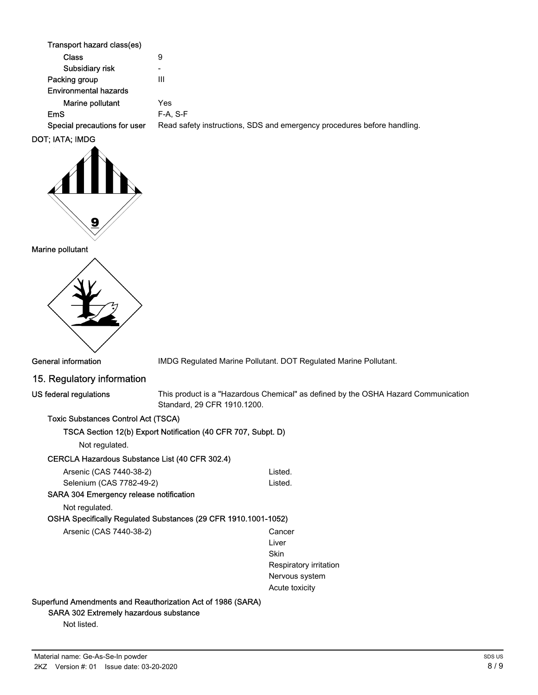| Transport hazard class(es)   |                                                                         |
|------------------------------|-------------------------------------------------------------------------|
| Class                        | 9                                                                       |
| Subsidiary risk              | $\overline{\phantom{0}}$                                                |
| Packing group                | Ш                                                                       |
| <b>Environmental hazards</b> |                                                                         |
| Marine pollutant             | Yes                                                                     |
| <b>EmS</b>                   | $F-A. S-F$                                                              |
| Special precautions for user | Read safety instructions, SDS and emergency procedures before handling. |
| \T. IATA. ILIDA              |                                                                         |



#### Marine pollutant



General information **IMDG Regulated Marine Pollutant. DOT Regulated Marine Pollutant.** 

## 15. Regulatory information

US federal regulations

This product is a "Hazardous Chemical" as defined by the OSHA Hazard Communication Standard, 29 CFR 1910.1200.

#### Toxic Substances Control Act (TSCA)

#### TSCA Section 12(b) Export Notification (40 CFR 707, Subpt. D)

Not regulated.

#### CERCLA Hazardous Substance List (40 CFR 302.4)

| Arsenic (CAS 7440-38-2)  | Listed. |
|--------------------------|---------|
| Selenium (CAS 7782-49-2) | Listed. |

## SARA 304 Emergency release notification

Not regulated.

OSHA Specifically Regulated Substances (29 CFR 1910.1001-1052)

| Arsenic (CAS 7440-38-2) | Cancer |
|-------------------------|--------|
|                         |        |

Liver **Skin** Respiratory irritation Nervous system Acute toxicity

#### Superfund Amendments and Reauthorization Act of 1986 (SARA)

#### SARA 302 Extremely hazardous substance

Not listed.